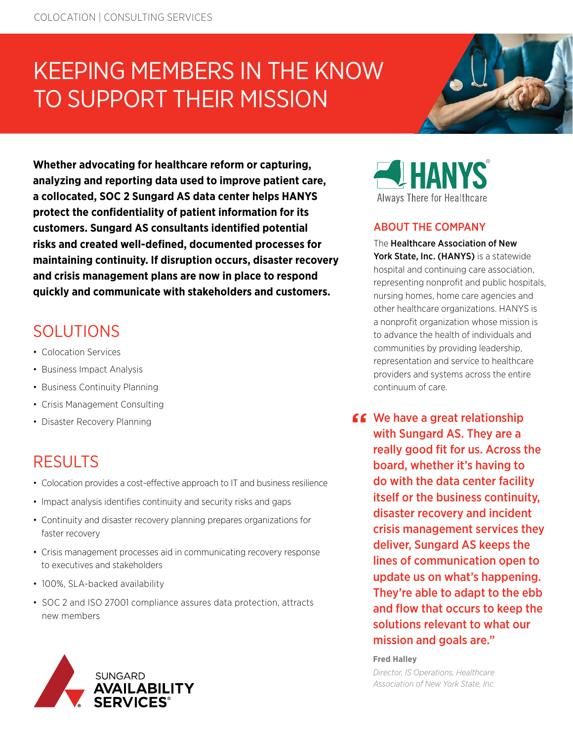# KEEPING MEMBERS IN THE KNOW TO SUPPORT THEIR MISSION

**Whether advocating for healthcare reform or capturing, analyzing and reporting data used to improve patient care, a collocated, SOC 2 Sungard AS data center helps HANYS protect the confidentiality of patient information for its customers. Sungard AS consultants identified potential risks and created well-defined, documented processes for maintaining continuity. If disruption occurs, disaster recovery and crisis management plans are now in place to respond quickly and communicate with stakeholders and customers.** 

# SOLUTIONS

- Colocation Services
- Business Impact Analysis
- Business Continuity Planning
- Crisis Management Consulting
- Disaster Recovery Planning

### **RESULTS**

- Colocation provides a cost-effective approach to IT and business resilience
- Impact analysis identifies continuity and security risks and gaps
- Continuity and disaster recovery planning prepares organizations for faster recovery
- Crisis management processes aid in communicating recovery response to executives and stakeholders
- 100%, SLA-backed availability
- SOC 2 and ISO 27001 compliance assures data protection, attracts new members





### ABOUT THE COMPANY

The Healthcare Association of New York State, Inc. (HANYS) is a statewide hospital and continuing care association, representing nonprofit and public hospitals, nursing homes, home care agencies and other healthcare organizations. HANYS is a nonprofit organization whose mission is to advance the health of individuals and communities by providing leadership, representation and service to healthcare providers and systems across the entire continuum of care.

**66** We have a great relationship with Sungard AS. They are a really good fit for us. Across the board, whether it's having to do with the data center facility itself or the business continuity, disaster recovery and incident crisis management services they deliver, Sungard AS keeps the lines of communication open to update us on what's happening. They're able to adapt to the ebb and flow that occurs to keep the solutions relevant to what our mission and goals are."

#### **Fred Halley**

*Director, IS Operations, Healthcare Association of New York State, Inc.*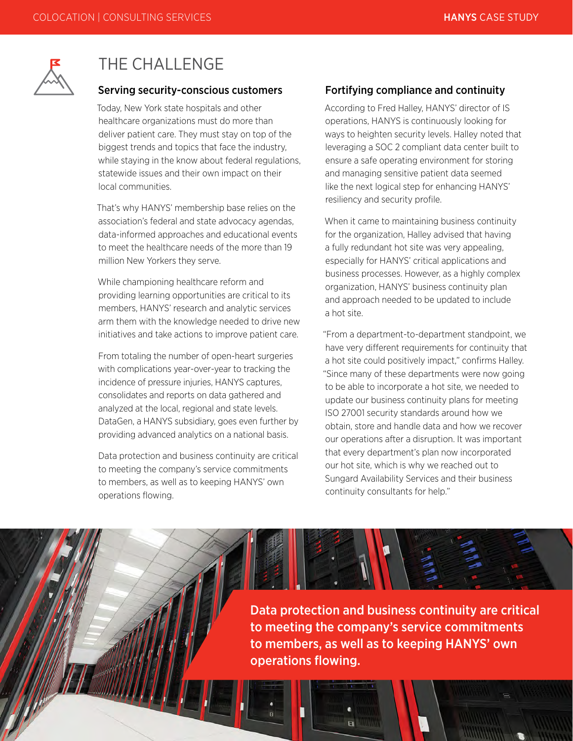

### THE CHALL ENGE

#### Serving security-conscious customers

Today, New York state hospitals and other healthcare organizations must do more than deliver patient care. They must stay on top of the biggest trends and topics that face the industry, while staying in the know about federal regulations, statewide issues and their own impact on their local communities.

That's why HANYS' membership base relies on the association's federal and state advocacy agendas, data-informed approaches and educational events to meet the healthcare needs of the more than 19 million New Yorkers they serve.

While championing healthcare reform and providing learning opportunities are critical to its members, HANYS' research and analytic services arm them with the knowledge needed to drive new initiatives and take actions to improve patient care.

From totaling the number of open-heart surgeries with complications year-over-year to tracking the incidence of pressure injuries, HANYS captures, consolidates and reports on data gathered and analyzed at the local, regional and state levels. DataGen, a HANYS subsidiary, goes even further by providing advanced analytics on a national basis.

Data protection and business continuity are critical to meeting the company's service commitments to members, as well as to keeping HANYS' own operations flowing.

#### Fortifying compliance and continuity

According to Fred Halley, HANYS' director of IS operations, HANYS is continuously looking for ways to heighten security levels. Halley noted that leveraging a SOC 2 compliant data center built to ensure a safe operating environment for storing and managing sensitive patient data seemed like the next logical step for enhancing HANYS' resiliency and security profile.

When it came to maintaining business continuity for the organization, Halley advised that having a fully redundant hot site was very appealing, especially for HANYS' critical applications and business processes. However, as a highly complex organization, HANYS' business continuity plan and approach needed to be updated to include a hot site.

"From a department-to-department standpoint, we have very different requirements for continuity that a hot site could positively impact," confirms Halley. "Since many of these departments were now going to be able to incorporate a hot site, we needed to update our business continuity plans for meeting ISO 27001 security standards around how we obtain, store and handle data and how we recover our operations after a disruption. It was important that every department's plan now incorporated our hot site, which is why we reached out to Sungard Availability Services and their business continuity consultants for help."

Data protection and business continuity are critical to meeting the company's service commitments to members, as well as to keeping HANYS' own operations flowing.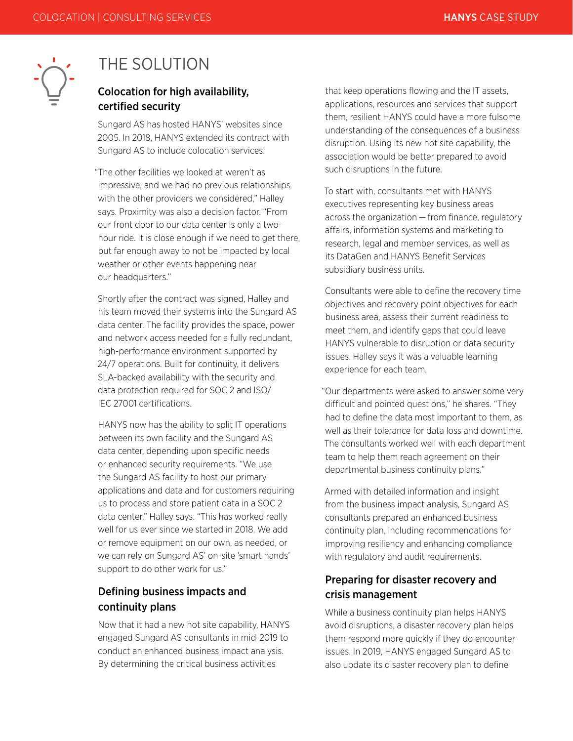

## THE SOLUTION

### Colocation for high availability, certified security

Sungard AS has hosted HANYS' websites since 2005. In 2018, HANYS extended its contract with Sungard AS to include colocation services.

"The other facilities we looked at weren't as impressive, and we had no previous relationships with the other providers we considered," Halley says. Proximity was also a decision factor. "From our front door to our data center is only a twohour ride. It is close enough if we need to get there, but far enough away to not be impacted by local weather or other events happening near our headquarters."

Shortly after the contract was signed, Halley and his team moved their systems into the Sungard AS data center. The facility provides the space, power and network access needed for a fully redundant, high-performance environment supported by 24/7 operations. Built for continuity, it delivers SLA-backed availability with the security and data protection required for SOC 2 and ISO/ IEC 27001 certifications.

HANYS now has the ability to split IT operations between its own facility and the Sungard AS data center, depending upon specific needs or enhanced security requirements. "We use the Sungard AS facility to host our primary applications and data and for customers requiring us to process and store patient data in a SOC 2 data center," Halley says. "This has worked really well for us ever since we started in 2018. We add or remove equipment on our own, as needed, or we can rely on Sungard AS' on-site 'smart hands' support to do other work for us."

### Defining business impacts and continuity plans

Now that it had a new hot site capability, HANYS engaged Sungard AS consultants in mid-2019 to conduct an enhanced business impact analysis. By determining the critical business activities

that keep operations flowing and the IT assets, applications, resources and services that support them, resilient HANYS could have a more fulsome understanding of the consequences of a business disruption. Using its new hot site capability, the association would be better prepared to avoid such disruptions in the future.

To start with, consultants met with HANYS executives representing key business areas across the organization — from finance, regulatory affairs, information systems and marketing to research, legal and member services, as well as its DataGen and HANYS Benefit Services subsidiary business units.

Consultants were able to define the recovery time objectives and recovery point objectives for each business area, assess their current readiness to meet them, and identify gaps that could leave HANYS vulnerable to disruption or data security issues. Halley says it was a valuable learning experience for each team.

"Our departments were asked to answer some very difficult and pointed questions," he shares. "They had to define the data most important to them, as well as their tolerance for data loss and downtime. The consultants worked well with each department team to help them reach agreement on their departmental business continuity plans."

Armed with detailed information and insight from the business impact analysis, Sungard AS consultants prepared an enhanced business continuity plan, including recommendations for improving resiliency and enhancing compliance with regulatory and audit requirements.

### Preparing for disaster recovery and crisis management

While a business continuity plan helps HANYS avoid disruptions, a disaster recovery plan helps them respond more quickly if they do encounter issues. In 2019, HANYS engaged Sungard AS to also update its disaster recovery plan to define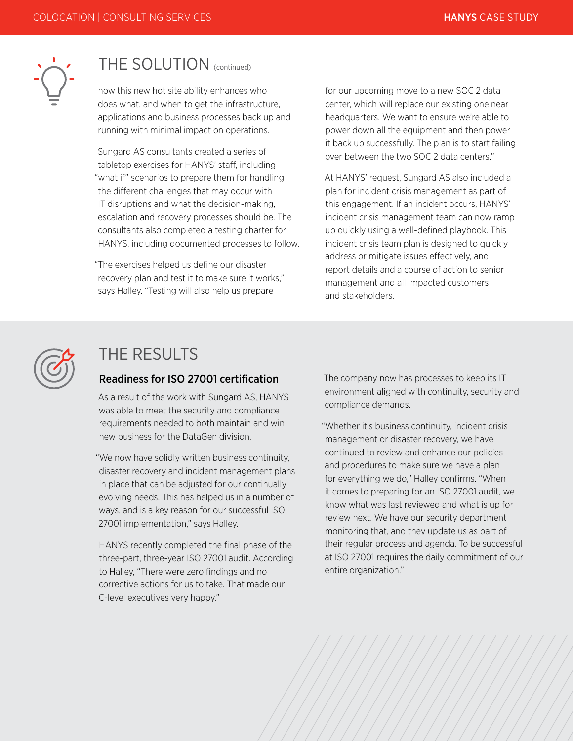

### THE SOLUTION (continued)

how this new hot site ability enhances who does what, and when to get the infrastructure, applications and business processes back up and running with minimal impact on operations.

Sungard AS consultants created a series of tabletop exercises for HANYS' staff, including "what if" scenarios to prepare them for handling the different challenges that may occur with IT disruptions and what the decision-making, escalation and recovery processes should be. The consultants also completed a testing charter for HANYS, including documented processes to follow.

"The exercises helped us define our disaster recovery plan and test it to make sure it works," says Halley. "Testing will also help us prepare

for our upcoming move to a new SOC 2 data center, which will replace our existing one near headquarters. We want to ensure we're able to power down all the equipment and then power it back up successfully. The plan is to start failing over between the two SOC 2 data centers."

At HANYS' request, Sungard AS also included a plan for incident crisis management as part of this engagement. If an incident occurs, HANYS' incident crisis management team can now ramp up quickly using a well-defined playbook. This incident crisis team plan is designed to quickly address or mitigate issues effectively, and report details and a course of action to senior management and all impacted customers and stakeholders.



### THE RESULTS

#### Readiness for ISO 27001 certification

As a result of the work with Sungard AS, HANYS was able to meet the security and compliance requirements needed to both maintain and win new business for the DataGen division.

"We now have solidly written business continuity, disaster recovery and incident management plans in place that can be adjusted for our continually evolving needs. This has helped us in a number of ways, and is a key reason for our successful ISO 27001 implementation," says Halley.

HANYS recently completed the final phase of the three-part, three-year ISO 27001 audit. According to Halley, "There were zero findings and no corrective actions for us to take. That made our C-level executives very happy."

The company now has processes to keep its IT environment aligned with continuity, security and compliance demands.

"Whether it's business continuity, incident crisis management or disaster recovery, we have continued to review and enhance our policies and procedures to make sure we have a plan for everything we do," Halley confirms. "When it comes to preparing for an ISO 27001 audit, we know what was last reviewed and what is up for review next. We have our security department monitoring that, and they update us as part of their regular process and agenda. To be successful at ISO 27001 requires the daily commitment of our entire organization."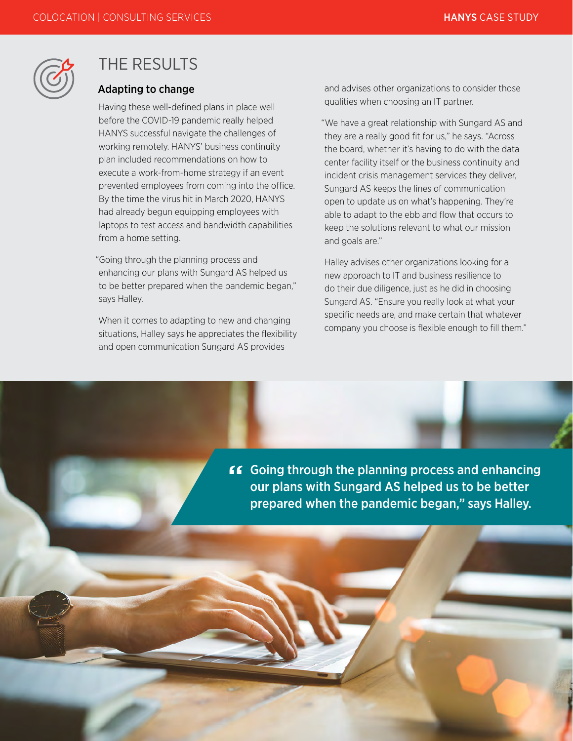

### THE RESULTS

#### Adapting to change

Having these well-defined plans in place well before the COVID-19 pandemic really helped HANYS successful navigate the challenges of working remotely. HANYS' business continuity plan included recommendations on how to execute a work-from-home strategy if an event prevented employees from coming into the office. By the time the virus hit in March 2020, HANYS had already begun equipping employees with laptops to test access and bandwidth capabilities from a home setting.

"Going through the planning process and enhancing our plans with Sungard AS helped us to be better prepared when the pandemic began," says Halley.

When it comes to adapting to new and changing situations, Halley says he appreciates the flexibility and open communication Sungard AS provides

and advises other organizations to consider those qualities when choosing an IT partner.

"We have a great relationship with Sungard AS and they are a really good fit for us," he says. "Across the board, whether it's having to do with the data center facility itself or the business continuity and incident crisis management services they deliver, Sungard AS keeps the lines of communication open to update us on what's happening. They're able to adapt to the ebb and flow that occurs to keep the solutions relevant to what our mission and goals are."

Halley advises other organizations looking for a new approach to IT and business resilience to do their due diligence, just as he did in choosing Sungard AS. "Ensure you really look at what your specific needs are, and make certain that whatever company you choose is flexible enough to fill them."

**GOT** Going through the planning process and enhancing our plans with Sungard AS helped us to be better prepared when the pandemic began," says Halley.